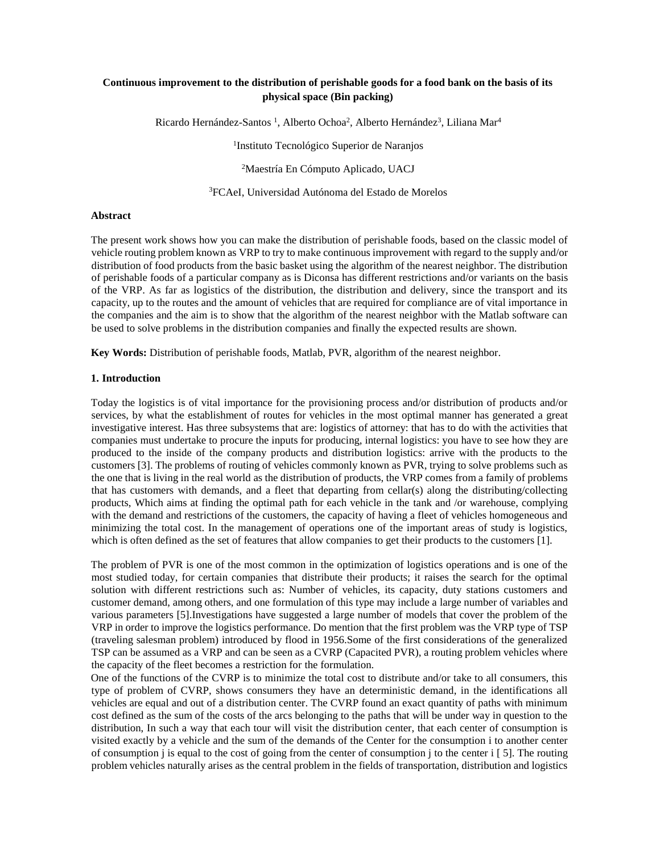# **Continuous improvement to the distribution of perishable goods for a food bank on the basis of its physical space (Bin packing)**

Ricardo Hernández-Santos<sup>1</sup>, Alberto Ochoa<sup>2</sup>, Alberto Hernández<sup>3</sup>, Liliana Mar<sup>4</sup>

1 Instituto Tecnológico Superior de Naranjos

<sup>2</sup>Maestría En Cómputo Aplicado, UACJ

<sup>3</sup>FCAeI, Universidad Autónoma del Estado de Morelos

#### **Abstract**

The present work shows how you can make the distribution of perishable foods, based on the classic model of vehicle routing problem known as VRP to try to make continuous improvement with regard to the supply and/or distribution of food products from the basic basket using the algorithm of the nearest neighbor. The distribution of perishable foods of a particular company as is Diconsa has different restrictions and/or variants on the basis of the VRP. As far as logistics of the distribution, the distribution and delivery, since the transport and its capacity, up to the routes and the amount of vehicles that are required for compliance are of vital importance in the companies and the aim is to show that the algorithm of the nearest neighbor with the Matlab software can be used to solve problems in the distribution companies and finally the expected results are shown.

**Key Words:** Distribution of perishable foods, Matlab, PVR, algorithm of the nearest neighbor.

#### **1. Introduction**

Today the logistics is of vital importance for the provisioning process and/or distribution of products and/or services, by what the establishment of routes for vehicles in the most optimal manner has generated a great investigative interest. Has three subsystems that are: logistics of attorney: that has to do with the activities that companies must undertake to procure the inputs for producing, internal logistics: you have to see how they are produced to the inside of the company products and distribution logistics: arrive with the products to the customers [3]. The problems of routing of vehicles commonly known as PVR, trying to solve problems such as the one that is living in the real world as the distribution of products, the VRP comes from a family of problems that has customers with demands, and a fleet that departing from cellar(s) along the distributing/collecting products, Which aims at finding the optimal path for each vehicle in the tank and /or warehouse, complying with the demand and restrictions of the customers, the capacity of having a fleet of vehicles homogeneous and minimizing the total cost. In the management of operations one of the important areas of study is logistics, which is often defined as the set of features that allow companies to get their products to the customers [1].

The problem of PVR is one of the most common in the optimization of logistics operations and is one of the most studied today, for certain companies that distribute their products; it raises the search for the optimal solution with different restrictions such as: Number of vehicles, its capacity, duty stations customers and customer demand, among others, and one formulation of this type may include a large number of variables and various parameters [5].Investigations have suggested a large number of models that cover the problem of the VRP in order to improve the logistics performance. Do mention that the first problem was the VRP type of TSP (traveling salesman problem) introduced by flood in 1956.Some of the first considerations of the generalized TSP can be assumed as a VRP and can be seen as a CVRP (Capacited PVR), a routing problem vehicles where the capacity of the fleet becomes a restriction for the formulation.

One of the functions of the CVRP is to minimize the total cost to distribute and/or take to all consumers, this type of problem of CVRP, shows consumers they have an deterministic demand, in the identifications all vehicles are equal and out of a distribution center. The CVRP found an exact quantity of paths with minimum cost defined as the sum of the costs of the arcs belonging to the paths that will be under way in question to the distribution, In such a way that each tour will visit the distribution center, that each center of consumption is visited exactly by a vehicle and the sum of the demands of the Center for the consumption i to another center of consumption  $\mathbf i$  is equal to the cost of going from the center of consumption  $\mathbf i$  to the center  $\mathbf i$  [ 5]. The routing problem vehicles naturally arises as the central problem in the fields of transportation, distribution and logistics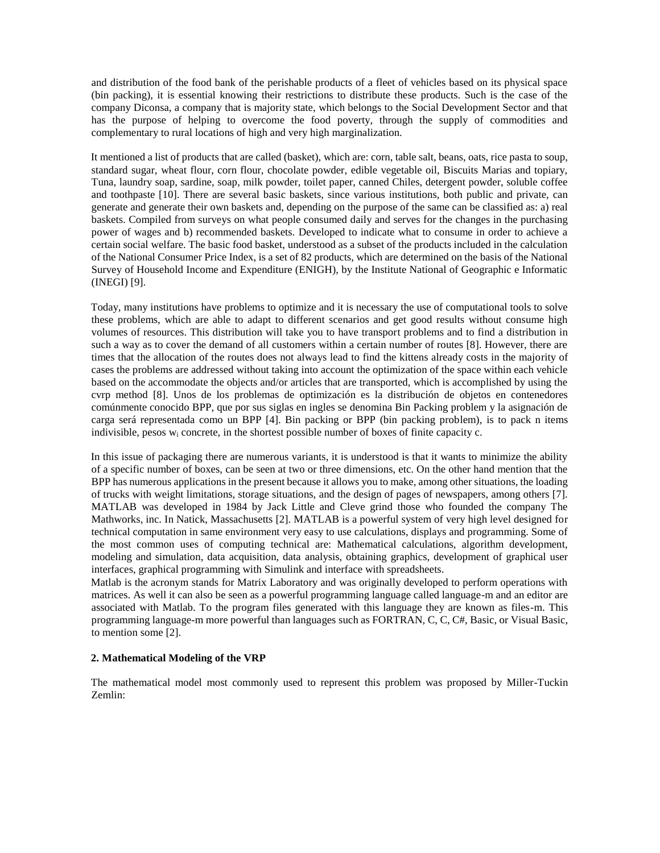and distribution of the food bank of the perishable products of a fleet of vehicles based on its physical space (bin packing), it is essential knowing their restrictions to distribute these products. Such is the case of the company Diconsa, a company that is majority state, which belongs to the Social Development Sector and that has the purpose of helping to overcome the food poverty, through the supply of commodities and complementary to rural locations of high and very high marginalization.

It mentioned a list of products that are called (basket), which are: corn, table salt, beans, oats, rice pasta to soup, standard sugar, wheat flour, corn flour, chocolate powder, edible vegetable oil, Biscuits Marias and topiary, Tuna, laundry soap, sardine, soap, milk powder, toilet paper, canned Chiles, detergent powder, soluble coffee and toothpaste [10]. There are several basic baskets, since various institutions, both public and private, can generate and generate their own baskets and, depending on the purpose of the same can be classified as: a) real baskets. Compiled from surveys on what people consumed daily and serves for the changes in the purchasing power of wages and b) recommended baskets. Developed to indicate what to consume in order to achieve a certain social welfare. The basic food basket, understood as a subset of the products included in the calculation of the National Consumer Price Index, is a set of 82 products, which are determined on the basis of the National Survey of Household Income and Expenditure (ENIGH), by the Institute National of Geographic e Informatic (INEGI) [9].

Today, many institutions have problems to optimize and it is necessary the use of computational tools to solve these problems, which are able to adapt to different scenarios and get good results without consume high volumes of resources. This distribution will take you to have transport problems and to find a distribution in such a way as to cover the demand of all customers within a certain number of routes [8]. However, there are times that the allocation of the routes does not always lead to find the kittens already costs in the majority of cases the problems are addressed without taking into account the optimization of the space within each vehicle based on the accommodate the objects and/or articles that are transported, which is accomplished by using the cvrp method [8]. Unos de los problemas de optimización es la distribución de objetos en contenedores comúnmente conocido BPP, que por sus siglas en ingles se denomina Bin Packing problem y la asignación de carga será representada como un BPP [4]. Bin packing or BPP (bin packing problem), is to pack n items indivisible, pesos  $w_i$  concrete, in the shortest possible number of boxes of finite capacity c.

In this issue of packaging there are numerous variants, it is understood is that it wants to minimize the ability of a specific number of boxes, can be seen at two or three dimensions, etc. On the other hand mention that the BPP has numerous applications in the present because it allows you to make, among other situations, the loading of trucks with weight limitations, storage situations, and the design of pages of newspapers, among others [7]. MATLAB was developed in 1984 by Jack Little and Cleve grind those who founded the company The Mathworks, inc. In Natick, Massachusetts [2]. MATLAB is a powerful system of very high level designed for technical computation in same environment very easy to use calculations, displays and programming. Some of the most common uses of computing technical are: Mathematical calculations, algorithm development, modeling and simulation, data acquisition, data analysis, obtaining graphics, development of graphical user interfaces, graphical programming with Simulink and interface with spreadsheets.

Matlab is the acronym stands for Matrix Laboratory and was originally developed to perform operations with matrices. As well it can also be seen as a powerful programming language called language-m and an editor are associated with Matlab. To the program files generated with this language they are known as files-m. This programming language-m more powerful than languages such as FORTRAN, C, C, C#, Basic, or Visual Basic, to mention some [2].

## **2. Mathematical Modeling of the VRP**

The mathematical model most commonly used to represent this problem was proposed by Miller-Tuckin Zemlin: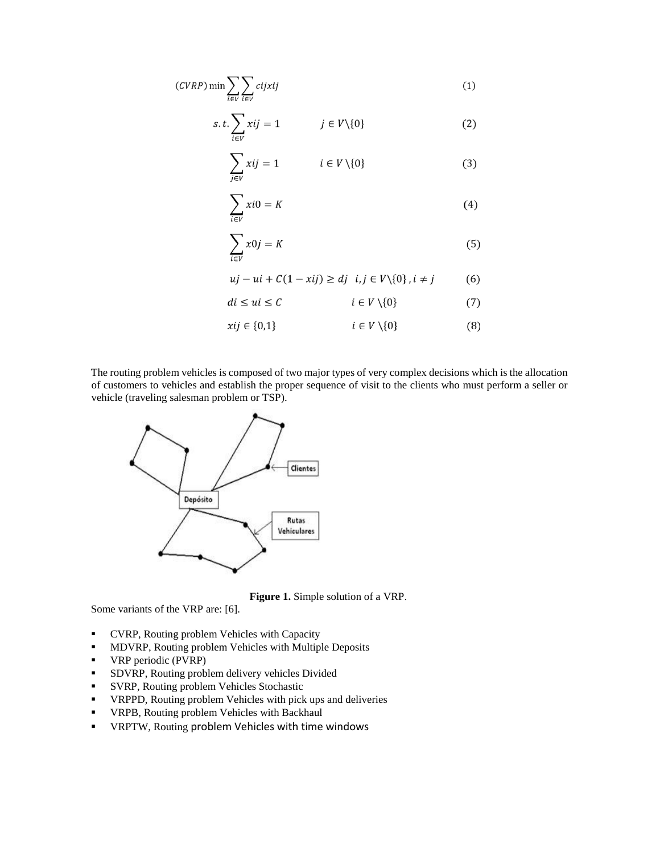$$
(CVRP)\min\sum_{i\in V}\sum_{i\in V}cijxij\tag{1}
$$

$$
s.t. \sum_{i \in V} xij = 1 \qquad j \in V \setminus \{0\} \tag{2}
$$

$$
\sum_{i \in V} xij = 1 \qquad i \in V \setminus \{0\} \tag{3}
$$

$$
\sum_{i \in V} x i 0 = K \tag{4}
$$

$$
\sum_{i \in V} x0j = K \tag{5}
$$

$$
uj - ui + C(1 - xij) \ge dj \quad i, j \in V \setminus \{0\}, i \ne j \tag{6}
$$

$$
di \le ui \le C \qquad \qquad i \in V \setminus \{0\} \tag{7}
$$

$$
xij \in \{0,1\} \qquad \qquad i \in V \setminus \{0\} \tag{8}
$$

The routing problem vehicles is composed of two major types of very complex decisions which is the allocation of customers to vehicles and establish the proper sequence of visit to the clients who must perform a seller or vehicle (traveling salesman problem or TSP).



**Figure 1.** Simple solution of a VRP.

Some variants of the VRP are: [6].

- CVRP, Routing problem Vehicles with Capacity
- **MDVRP, Routing problem Vehicles with Multiple Deposits**
- **•** VRP periodic (PVRP)
- **SDVRP, Routing problem delivery vehicles Divided**
- SVRP, Routing problem Vehicles Stochastic
- VRPPD, Routing problem Vehicles with pick ups and deliveries
- VRPB, Routing problem Vehicles with Backhaul
- VRPTW, Routing problem Vehicles with time windows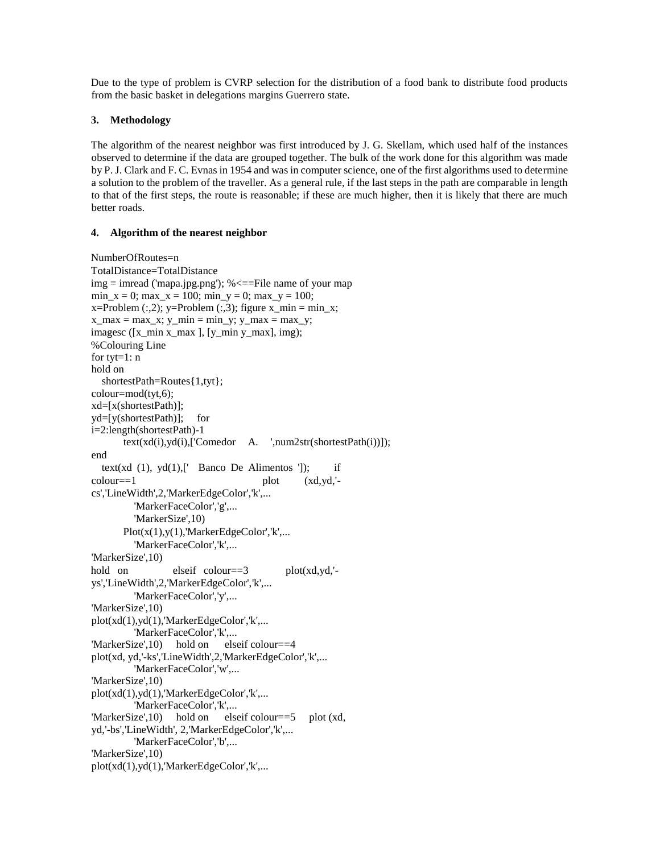Due to the type of problem is CVRP selection for the distribution of a food bank to distribute food products from the basic basket in delegations margins Guerrero state.

## **3. Methodology**

The algorithm of the nearest neighbor was first introduced by J. G. Skellam, which used half of the instances observed to determine if the data are grouped together. The bulk of the work done for this algorithm was made by P. J. Clark and F. C. Evnas in 1954 and was in computer science, one of the first algorithms used to determine a solution to the problem of the traveller. As a general rule, if the last steps in the path are comparable in length to that of the first steps, the route is reasonable; if these are much higher, then it is likely that there are much better roads.

## **4. Algorithm of the nearest neighbor**

```
NumberOfRoutes=n 
TotalDistance=TotalDistance 
img = imread ('mapa.jpg.png'); % \leq = File name of your map
min_x = 0; max_x = 100; min_y = 0; max_y = 100;
x=Problem (:,2); y=Problem (:,3); figure x\_min = min_x;
x_max = max_x; y,min = min_y; y_max = max_y;
imagesc ([x_min x_max ], [y_min y_max], img); 
%Colouring Line 
for tyt=1: n 
hold on 
   shortestPath=Routes{1,tyt}; 
colour=mod(tyt,6); 
xd=[x(shortestPath)]; 
yd=[y(shortestPath)]; for 
i=2:length(shortestPath)-1 
        text(xd(i),yd(i),['Comedor A. ',num2str(shortestPath(i))]); 
end 
  text(xd (1), yd(1), [<sup>'</sup> Banco De Alimentos ']); if
\text{colour} == 1 plot (\text{xd},\text{yd},\text{'-})cs','LineWidth',2,'MarkerEdgeColor','k',... 
           'MarkerFaceColor','g',... 
           'MarkerSize',10) 
       Plot(x(1),y(1),'MarketEdgeColor','k',... 'MarkerFaceColor','k',... 
'MarkerSize',10) 
hold on elseif colour==3 plot(xd,yd,'-
ys','LineWidth',2,'MarkerEdgeColor','k',... 
           'MarkerFaceColor','y',... 
'MarkerSize',10) 
plot(xd(1),yd(1),'MarketEdgeColor','k',... 'MarkerFaceColor','k',... 
'MarkerSize',10) hold on elseif colour==4 
plot(xd, yd,'-ks','LineWidth',2,'MarkerEdgeColor','k',... 
           'MarkerFaceColor','w',... 
'MarkerSize',10) 
plot(xd(1),yd(1),'MarkerEdgeColor','k',...
           'MarkerFaceColor','k',... 
'MarkerSize',10) hold on elseif colour==5 plot (xd, 
yd,'-bs','LineWidth', 2,'MarkerEdgeColor','k',... 
           'MarkerFaceColor','b',... 
'MarkerSize',10) 
plot(xd(1),yd(1),'MarkerEdgeColor','k',...
```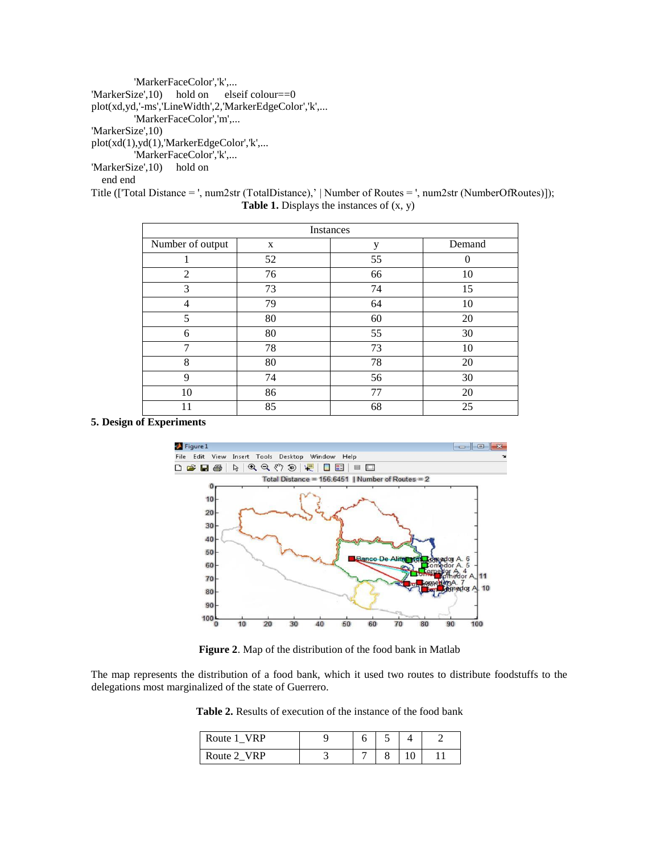'MarkerFaceColor','k',... 'MarkerSize',10) hold on elseif colour==0 plot(xd,yd,'-ms','LineWidth',2,'MarkerEdgeColor','k',... 'MarkerFaceColor','m',... 'MarkerSize',10) plot(xd(1),yd(1),'MarkerEdgeColor','k',... 'MarkerFaceColor','k',... 'MarkerSize',10) hold on end end

Title (['Total Distance = ', num2str (TotalDistance),' | Number of Routes = ', num2str (NumberOfRoutes)]); **Table 1.** Displays the instances of (x, y)

| Instances        |    |    |          |  |  |
|------------------|----|----|----------|--|--|
| Number of output | X  | y  | Demand   |  |  |
|                  | 52 | 55 | $\left($ |  |  |
| 2                | 76 | 66 | 10       |  |  |
| 3                | 73 | 74 | 15       |  |  |
| 4                | 79 | 64 | 10       |  |  |
| 5                | 80 | 60 | 20       |  |  |
| 6                | 80 | 55 | 30       |  |  |
| $\overline{7}$   | 78 | 73 | 10       |  |  |
| 8                | 80 | 78 | 20       |  |  |
| 9                | 74 | 56 | 30       |  |  |
| 10               | 86 | 77 | 20       |  |  |
| 11               | 85 | 68 | 25       |  |  |

#### **5. Design of Experiments**



**Figure 2**. Map of the distribution of the food bank in Matlab

The map represents the distribution of a food bank, which it used two routes to distribute foodstuffs to the delegations most marginalized of the state of Guerrero.

**Table 2.** Results of execution of the instance of the food bank

| Route 1 VRP |  |  |  |
|-------------|--|--|--|
| Route 2 VRP |  |  |  |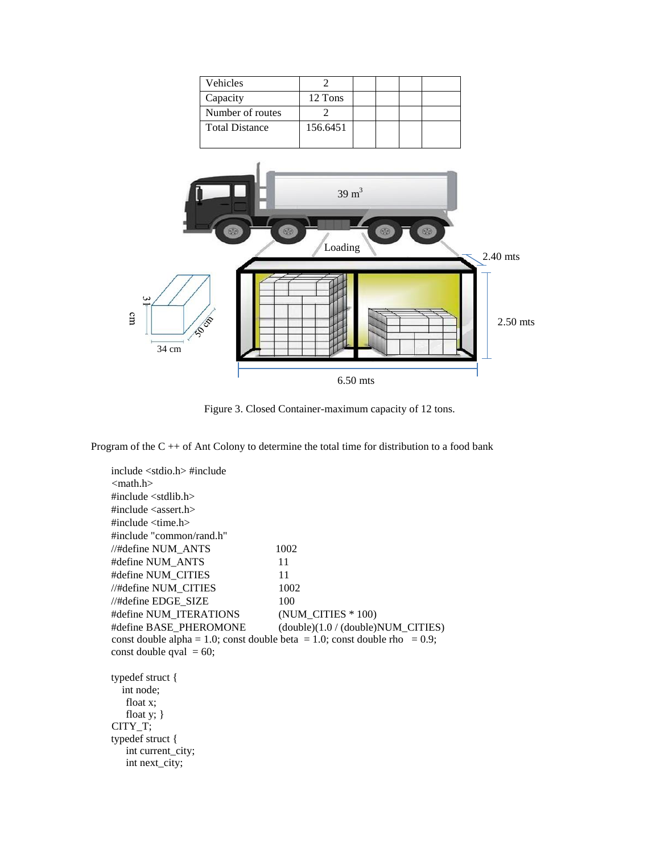| Vehicles              |          |  |  |
|-----------------------|----------|--|--|
| Capacity              | 12 Tons  |  |  |
| Number of routes      |          |  |  |
| <b>Total Distance</b> | 156.6451 |  |  |
|                       |          |  |  |



Figure 3. Closed Container-maximum capacity of 12 tons.

Program of the  $C + \cdot$  of Ant Colony to determine the total time for distribution to a food bank

include <stdio.h> #include <math.h> #include <stdlib.h> #include <assert.h>  $\#$ include  $\lt$ time.h $>$ #include "common/rand.h" //#define NUM\_ANTS 1002 #define NUM\_ANTS 11 #define NUM\_CITIES 11 //#define NUM\_CITIES 1002  $//\#define\ EDGE_SIZE$  100 #define NUM\_ITERATIONS (NUM\_CITIES \* 100) #define BASE\_PHEROMONE (double)(1.0 / (double)NUM\_CITIES) const double alpha = 1.0; const double beta = 1.0; const double rho = 0.9; const double qval  $= 60$ ; typedef struct { int node; float x; float y; } CITY\_T; typedef struct { int current\_city; int next\_city;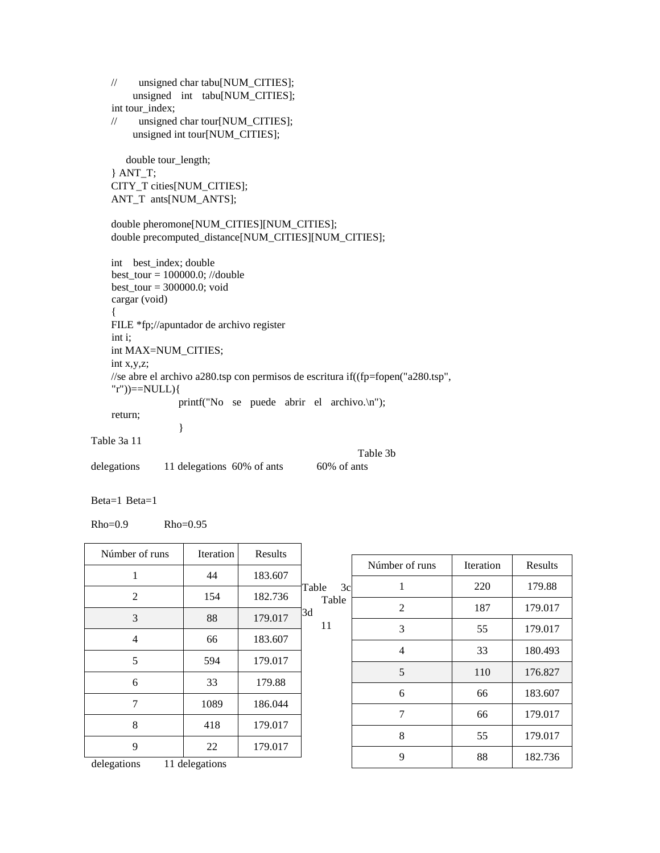// unsigned char tabu[NUM\_CITIES]; unsigned int tabu[NUM\_CITIES]; int tour index; // unsigned char tour[NUM\_CITIES]; unsigned int tour[NUM\_CITIES]; double tour\_length; } ANT\_T; CITY\_T cities[NUM\_CITIES]; ANT\_T ants[NUM\_ANTS]; double pheromone[NUM\_CITIES][NUM\_CITIES]; double precomputed\_distance[NUM\_CITIES][NUM\_CITIES]; int best\_index; double best\_tour = 100000.0; //double best\_tour = 300000.0; void cargar (void) { FILE \*fp;//apuntador de archivo register int i; int MAX=NUM\_CITIES; int x,y,z; //se abre el archivo a280.tsp con permisos de escritura if((fp=fopen("a280.tsp", "r"))==NULL){ printf("No se puede abrir el archivo.\n"); return; } Table 3a 11 Table 3b delegations 11 delegations 60% of ants 60% of ants

Beta=1 Beta=1

Rho=0.9 Rho=0.95

| Númber of runs | <b>Iteration</b> | Results |             |                |           |         |
|----------------|------------------|---------|-------------|----------------|-----------|---------|
|                |                  |         |             | Númber of runs | Iteration | Results |
| 1              | 44               | 183.607 | 3c<br>Table |                | 220       | 179.88  |
| $\overline{c}$ | 154              | 182.736 | Table       |                |           |         |
|                |                  |         | 3d          | $\overline{2}$ | 187       | 179.017 |
| 3              | 88               | 179.017 | 11          | 3              | 55        | 179.017 |
| $\overline{4}$ | 66               | 183.607 |             |                |           |         |
|                |                  |         |             | $\overline{4}$ | 33        | 180.493 |
| 5              | 594              | 179.017 |             | 5              | 110       | 176.827 |
| 6              | 33               | 179.88  |             |                |           |         |
|                |                  |         |             | 6              | 66        | 183.607 |
| 7              | 1089             | 186.044 |             | 7              | 66        | 179.017 |
| 8              | 418              | 179.017 |             |                |           |         |
|                |                  |         |             | 8              | 55        | 179.017 |
| 9              | 22               | 179.017 |             | 9              | 88        | 182.736 |
| delegations    | 11 delegations   |         |             |                |           |         |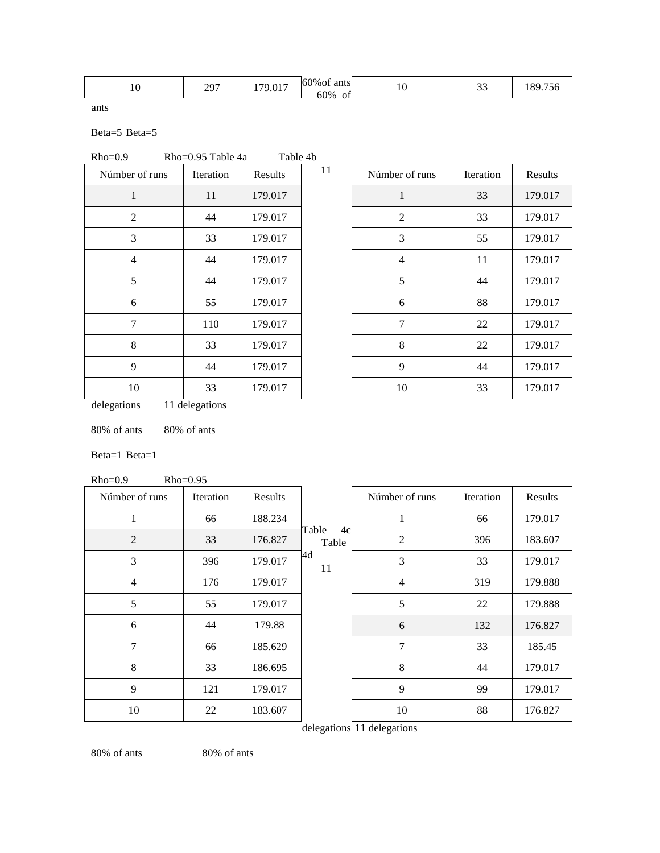| 60% of ants<br>207<br>017<br>$ -$<br>$\Omega$<br>$\sim$<br>70<br>9.VI<br>$\overline{1}$<br>رسد<br>*∿<br>$\tilde{\phantom{a}}$<br>60%<br><b>Contract Contract Contract Contract</b><br>__<br>ΟÌ |
|------------------------------------------------------------------------------------------------------------------------------------------------------------------------------------------------|
|------------------------------------------------------------------------------------------------------------------------------------------------------------------------------------------------|

ants

Beta=5 Beta=5

| $Rho=0.9$      | $Rho=0.95$ Table 4a |            | Table 4b- |  |
|----------------|---------------------|------------|-----------|--|
| Númbor of rupe | Itaration           | $D$ oculta |           |  |

| Númber of runs | Iteration | Results |
|----------------|-----------|---------|
| 1              | 11        | 179.017 |
| 2              | 44        | 179.017 |
| 3              | 33        | 179.017 |
| 4              | 44        | 179.017 |
| 5              | 44        | 179.017 |
| 6              | 55        | 179.017 |
| 7              | 110       | 179.017 |
| 8              | 33        | 179.017 |
| 9              | 44        | 179.017 |
| 10             | 33        | 179.017 |

| Númber of runs | <b>Iteration</b> | Results |
|----------------|------------------|---------|
| 1              | 33               | 179.017 |
| $\overline{2}$ | 33               | 179.017 |
| 3              | 55               | 179.017 |
| 4              | 11               | 179.017 |
| 5              | 44               | 179.017 |
| 6              | 88               | 179.017 |
| 7              | 22               | 179.017 |
| 8              | 22               | 179.017 |
| 9              | 44               | 179.017 |
| 10             | 33               | 179.017 |

delegations 11 delegations

80% of ants 80% of ants

Beta=1 Beta=1

Rho=0.9 Rho=0.95

| Númber of runs | Iteration | Results |                      | Númber of runs | Iteration | Results |
|----------------|-----------|---------|----------------------|----------------|-----------|---------|
| 1              | 66        | 188.234 |                      | 1              | 66        | 179.017 |
| $\overline{2}$ | 33        | 176.827 | Table<br>4c<br>Table | $\overline{2}$ | 396       | 183.607 |
| 3              | 396       | 179.017 | 4d<br>11             | 3              | 33        | 179.017 |
| 4              | 176       | 179.017 |                      | $\overline{4}$ | 319       | 179.888 |
| 5              | 55        | 179.017 |                      | 5              | 22        | 179.888 |
| 6              | 44        | 179.88  |                      | 6              | 132       | 176.827 |
| 7              | 66        | 185.629 |                      | 7              | 33        | 185.45  |
| 8              | 33        | 186.695 |                      | 8              | 44        | 179.017 |
| 9              | 121       | 179.017 |                      | 9              | 99        | 179.017 |
| 10             | 22        | 183.607 |                      | 10             | 88        | 176.827 |

delegations 11 delegations

80% of ants 80% of ants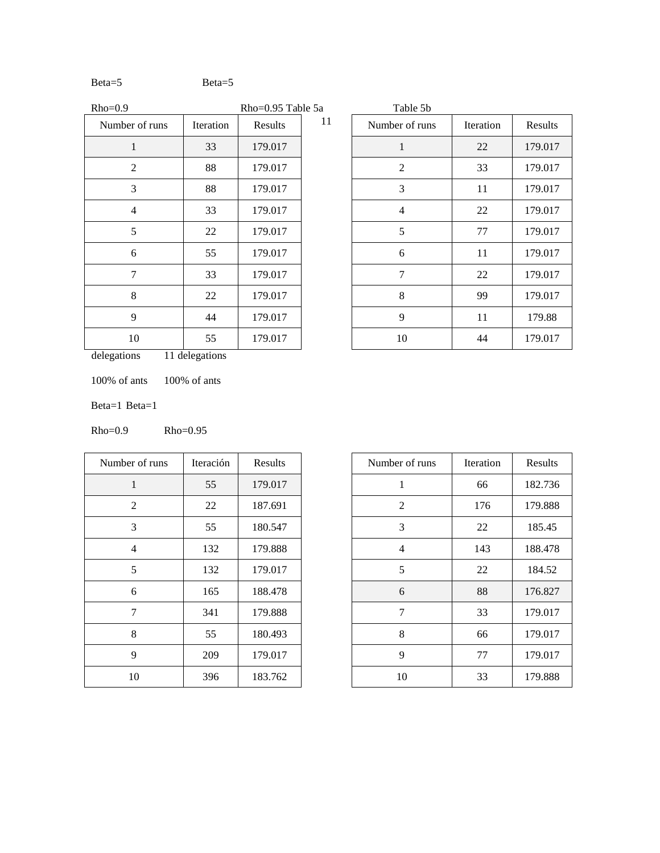# Beta=5

| $Rho=0.9$      |           | Rho=0.95 Table 5a |    | Table 5b       |
|----------------|-----------|-------------------|----|----------------|
| Number of runs | Iteration | Results           | 11 | Number of runs |
| 1              | 33        | 179.017           |    | 1              |
| 2              | 88        | 179.017           |    | 2              |
| 3              | 88        | 179.017           |    | 3              |
| 4              | 33        | 179.017           |    | 4              |
| 5              | 22        | 179.017           |    | 5              |
| 6              | 55        | 179.017           |    | 6              |
| 7              | 33        | 179.017           |    | 7              |
| 8              | 22        | 179.017           |    | 8              |
| 9              | 44        | 179.017           |    | 9              |
| 10             | 55        | 179.017           |    | 10             |

| Table 5b       |           |         |
|----------------|-----------|---------|
| Number of runs | Iteration | Results |
| 1              | 22        | 179.017 |
| 2              | 33        | 179.017 |
| 3              | 11        | 179.017 |
| 4              | 22        | 179.017 |
| 5              | 77        | 179.017 |
| 6              | 11        | 179.017 |
| 7              | 22        | 179.017 |
| 8              | 99        | 179.017 |
| 9              | 11        | 179.88  |
| 10             | 44        | 179.017 |

delegations 11 delegations

100% of ants 100% of ants

Beta=1 Beta=1

Rho=0.9 Rho=0.95

| Number of runs | Iteración | Results |
|----------------|-----------|---------|
| 1              | 55        | 179.017 |
| 2              | 22        | 187.691 |
| 3              | 55        | 180.547 |
| 4              | 132       | 179.888 |
| 5              | 132       | 179.017 |
| 6              | 165       | 188.478 |
| 7              | 341       | 179.888 |
| 8              | 55        | 180.493 |
| 9              | 209       | 179.017 |
| 10             | 396       | 183.762 |

| Number of runs | Iteración | Results | Number of runs | Iteration | Results |
|----------------|-----------|---------|----------------|-----------|---------|
| 1              | 55        | 179.017 |                | 66        | 182.736 |
| $\overline{2}$ | 22        | 187.691 | $\overline{2}$ | 176       | 179.888 |
| 3              | 55        | 180.547 | 3              | 22        | 185.45  |
| $\overline{4}$ | 132       | 179.888 | $\overline{4}$ | 143       | 188.478 |
| 5              | 132       | 179.017 | 5              | 22        | 184.52  |
| 6              | 165       | 188.478 | 6              | 88        | 176.827 |
| 7              | 341       | 179.888 | 7              | 33        | 179.017 |
| 8              | 55        | 180.493 | 8              | 66        | 179.017 |
| 9              | 209       | 179.017 | 9              | 77        | 179.017 |
| 10             | 396       | 183.762 | 10             | 33        | 179.888 |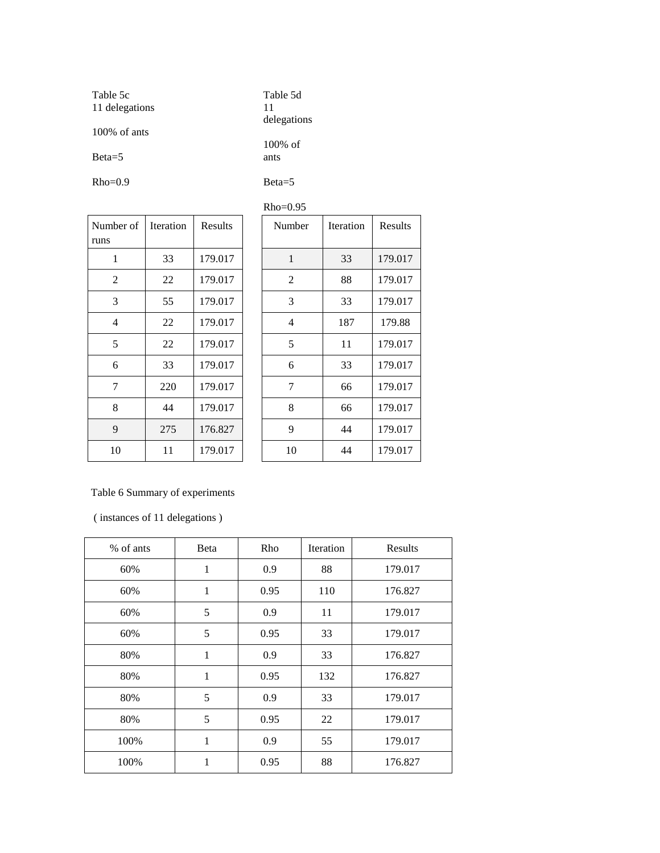| Table 5c<br>11 delegations  | Table 5d<br>11<br>delegations |  |  |
|-----------------------------|-------------------------------|--|--|
| $100\%$ of ants<br>$Beta=5$ | $100\%$ of<br>ants            |  |  |
| $Rho=0.9$                   | $Beta=5$                      |  |  |

| Number of<br>runs | <b>Iteration</b> | Results |
|-------------------|------------------|---------|
| 1                 | 33               | 179.017 |
| 2                 | 22               | 179.017 |
| 3                 | 55               | 179.017 |
| 4                 | 22               | 179.017 |
| 5                 | 22               | 179.017 |
| 6                 | 33               | 179.017 |
| 7                 | 220              | 179.017 |
| 8                 | 44               | 179.017 |
| 9                 | 275              | 176.827 |
| 10                | 11               | 179.017 |

| $Rho=0.95$     |           |         |  |                |           |         |
|----------------|-----------|---------|--|----------------|-----------|---------|
| her of         | Iteration | Results |  | Number         | Iteration | Results |
| $\mathbf{1}$   | 33        | 179.017 |  | 1              | 33        | 179.017 |
| 2              | 22        | 179.017 |  | $\overline{2}$ | 88        | 179.017 |
| 3              | 55        | 179.017 |  | 3              | 33        | 179.017 |
| $\overline{4}$ | 22        | 179.017 |  | $\overline{4}$ | 187       | 179.88  |
| 5              | 22        | 179.017 |  | 5              | 11        | 179.017 |
| 6              | 33        | 179.017 |  | 6              | 33        | 179.017 |
| 7              | 220       | 179.017 |  | 7              | 66        | 179.017 |
| 8              | 44        | 179.017 |  | 8              | 66        | 179.017 |
| 9              | 275       | 176.827 |  | 9              | 44        | 179.017 |
| 10             | 11        | 179.017 |  | 10             | 44        | 179.017 |

# Table 6 Summary of experiments

( instances of 11 delegations )

| % of ants | Beta         | Rho  | Iteration | Results |
|-----------|--------------|------|-----------|---------|
| 60%       | 1            | 0.9  | 88        | 179.017 |
| 60%       | 1            | 0.95 | 110       | 176.827 |
| 60%       | 5            | 0.9  | 11        | 179.017 |
| 60%       | 5            | 0.95 | 33        | 179.017 |
| 80%       | 1            | 0.9  | 33        | 176.827 |
| 80%       | $\mathbf{1}$ | 0.95 | 132       | 176.827 |
| 80%       | 5            | 0.9  | 33        | 179.017 |
| 80%       | 5            | 0.95 | 22        | 179.017 |
| 100%      | 1            | 0.9  | 55        | 179.017 |
| 100%      | 1            | 0.95 | 88        | 176.827 |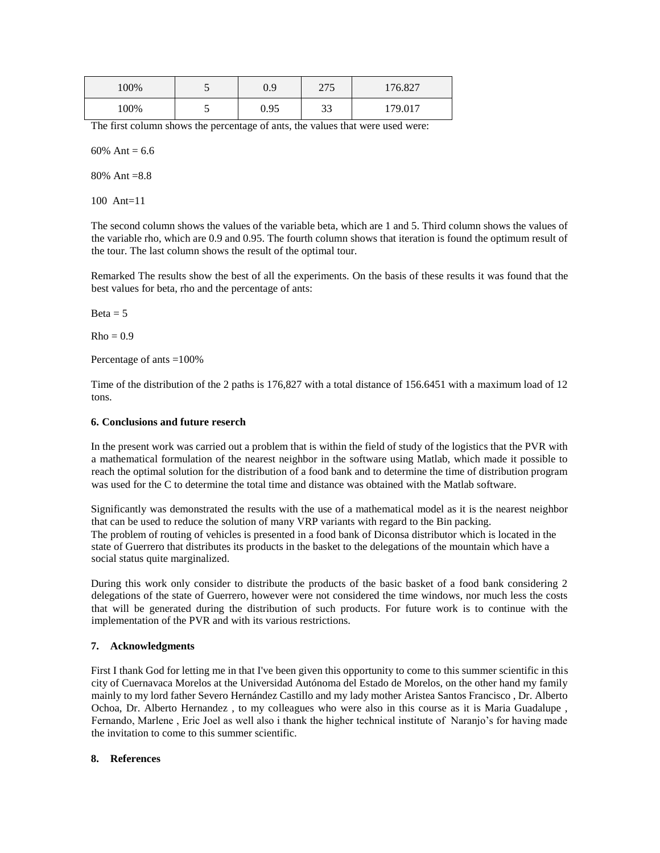| 00% | $\overline{\phantom{0}}$ | $_{0.9}$ | 275<br>ل ا ک | 176.827 |  |
|-----|--------------------------|----------|--------------|---------|--|
| 00% | ັ                        | 0.95     | $\sim$<br>JJ | 170 017 |  |

The first column shows the percentage of ants, the values that were used were:

60% Ant =  $6.6$ 

80% Ant =8.8

100 Ant=11

The second column shows the values of the variable beta, which are 1 and 5. Third column shows the values of the variable rho, which are 0.9 and 0.95. The fourth column shows that iteration is found the optimum result of the tour. The last column shows the result of the optimal tour.

Remarked The results show the best of all the experiments. On the basis of these results it was found that the best values for beta, rho and the percentage of ants:

 $Beta = 5$ 

 $Rho = 0.9$ 

Percentage of ants =100%

Time of the distribution of the 2 paths is 176,827 with a total distance of 156.6451 with a maximum load of 12 tons.

#### **6. Conclusions and future reserch**

In the present work was carried out a problem that is within the field of study of the logistics that the PVR with a mathematical formulation of the nearest neighbor in the software using Matlab, which made it possible to reach the optimal solution for the distribution of a food bank and to determine the time of distribution program was used for the C to determine the total time and distance was obtained with the Matlab software.

Significantly was demonstrated the results with the use of a mathematical model as it is the nearest neighbor that can be used to reduce the solution of many VRP variants with regard to the Bin packing. The problem of routing of vehicles is presented in a food bank of Diconsa distributor which is located in the state of Guerrero that distributes its products in the basket to the delegations of the mountain which have a social status quite marginalized.

During this work only consider to distribute the products of the basic basket of a food bank considering 2 delegations of the state of Guerrero, however were not considered the time windows, nor much less the costs that will be generated during the distribution of such products. For future work is to continue with the implementation of the PVR and with its various restrictions.

#### **7. Acknowledgments**

First I thank God for letting me in that I've been given this opportunity to come to this summer scientific in this city of Cuernavaca Morelos at the Universidad Autónoma del Estado de Morelos, on the other hand my family mainly to my lord father Severo Hernández Castillo and my lady mother Aristea Santos Francisco , Dr. Alberto Ochoa, Dr. Alberto Hernandez , to my colleagues who were also in this course as it is Maria Guadalupe , Fernando, Marlene , Eric Joel as well also i thank the higher technical institute of Naranjo's for having made the invitation to come to this summer scientific.

#### **8. References**